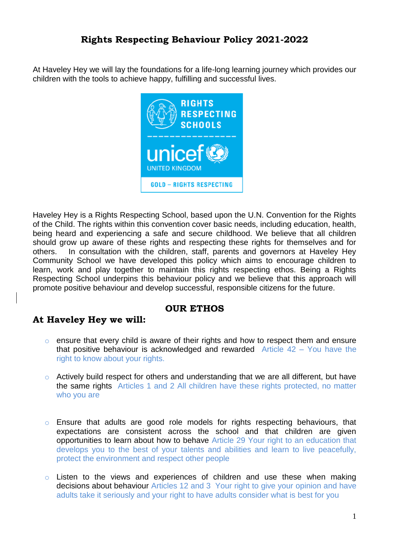At Haveley Hey we will lay the foundations for a life-long learning journey which provides our children with the tools to achieve happy, fulfilling and successful lives.



Haveley Hey is a Rights Respecting School, based upon the U.N. Convention for the Rights of the Child. The rights within this convention cover basic needs, including education, health, being heard and experiencing a safe and secure childhood. We believe that all children should grow up aware of these rights and respecting these rights for themselves and for others. In consultation with the children, staff, parents and governors at Haveley Hey Community School we have developed this policy which aims to encourage children to learn, work and play together to maintain this rights respecting ethos. Being a Rights Respecting School underpins this behaviour policy and we believe that this approach will promote positive behaviour and develop successful, responsible citizens for the future.

### **OUR ETHOS**

## **At Haveley Hey we will:**

- o ensure that every child is aware of their rights and how to respect them and ensure that positive behaviour is acknowledged and rewarded Article 42 – You have the right to know about your rights.
- $\circ$  Actively build respect for others and understanding that we are all different, but have the same rights Articles 1 and 2 All children have these rights protected, no matter who you are
- o Ensure that adults are good role models for rights respecting behaviours, that expectations are consistent across the school and that children are given opportunities to learn about how to behave Article 29 Your right to an education that develops you to the best of your talents and abilities and learn to live peacefully, protect the environment and respect other people
- $\circ$  Listen to the views and experiences of children and use these when making decisions about behaviour Articles 12 and 3 Your right to give your opinion and have adults take it seriously and your right to have adults consider what is best for you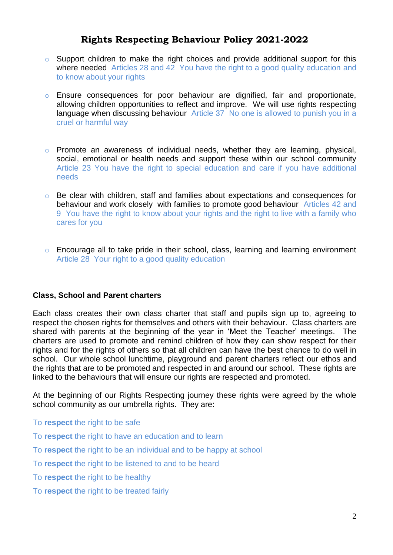- $\circ$  Support children to make the right choices and provide additional support for this where needed Articles 28 and 42 You have the right to a good quality education and to know about your rights
- o Ensure consequences for poor behaviour are dignified, fair and proportionate, allowing children opportunities to reflect and improve. We will use rights respecting language when discussing behaviour Article 37 No one is allowed to punish you in a cruel or harmful way
- o Promote an awareness of individual needs, whether they are learning, physical, social, emotional or health needs and support these within our school community Article 23 You have the right to special education and care if you have additional needs
- o Be clear with children, staff and families about expectations and consequences for behaviour and work closely with families to promote good behaviour Articles 42 and 9 You have the right to know about your rights and the right to live with a family who cares for you
- o Encourage all to take pride in their school, class, learning and learning environment Article 28 Your right to a good quality education

#### **Class, School and Parent charters**

Each class creates their own class charter that staff and pupils sign up to, agreeing to respect the chosen rights for themselves and others with their behaviour. Class charters are shared with parents at the beginning of the year in 'Meet the Teacher' meetings. The charters are used to promote and remind children of how they can show respect for their rights and for the rights of others so that all children can have the best chance to do well in school. Our whole school lunchtime, playground and parent charters reflect our ethos and the rights that are to be promoted and respected in and around our school. These rights are linked to the behaviours that will ensure our rights are respected and promoted.

At the beginning of our Rights Respecting journey these rights were agreed by the whole school community as our umbrella rights. They are:

- To **respect** the right to be safe
- To **respect** the right to have an education and to learn
- To **respect** the right to be an individual and to be happy at school
- To **respect** the right to be listened to and to be heard
- To **respect** the right to be healthy
- To **respect** the right to be treated fairly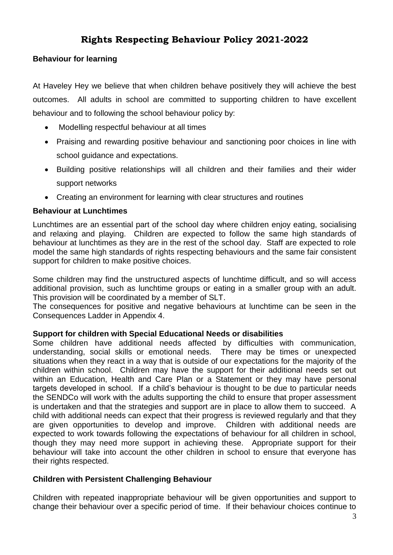### **Behaviour for learning**

At Haveley Hey we believe that when children behave positively they will achieve the best outcomes. All adults in school are committed to supporting children to have excellent behaviour and to following the school behaviour policy by:

- Modelling respectful behaviour at all times
- Praising and rewarding positive behaviour and sanctioning poor choices in line with school guidance and expectations.
- Building positive relationships will all children and their families and their wider support networks
- Creating an environment for learning with clear structures and routines

### **Behaviour at Lunchtimes**

Lunchtimes are an essential part of the school day where children enjoy eating, socialising and relaxing and playing. Children are expected to follow the same high standards of behaviour at lunchtimes as they are in the rest of the school day. Staff are expected to role model the same high standards of rights respecting behaviours and the same fair consistent support for children to make positive choices.

Some children may find the unstructured aspects of lunchtime difficult, and so will access additional provision, such as lunchtime groups or eating in a smaller group with an adult. This provision will be coordinated by a member of SLT.

The consequences for positive and negative behaviours at lunchtime can be seen in the Consequences Ladder in Appendix 4.

### **Support for children with Special Educational Needs or disabilities**

Some children have additional needs affected by difficulties with communication, understanding, social skills or emotional needs. There may be times or unexpected situations when they react in a way that is outside of our expectations for the majority of the children within school. Children may have the support for their additional needs set out within an Education, Health and Care Plan or a Statement or they may have personal targets developed in school. If a child's behaviour is thought to be due to particular needs the SENDCo will work with the adults supporting the child to ensure that proper assessment is undertaken and that the strategies and support are in place to allow them to succeed. A child with additional needs can expect that their progress is reviewed regularly and that they are given opportunities to develop and improve. Children with additional needs are expected to work towards following the expectations of behaviour for all children in school, though they may need more support in achieving these. Appropriate support for their behaviour will take into account the other children in school to ensure that everyone has their rights respected.

### **Children with Persistent Challenging Behaviour**

Children with repeated inappropriate behaviour will be given opportunities and support to change their behaviour over a specific period of time. If their behaviour choices continue to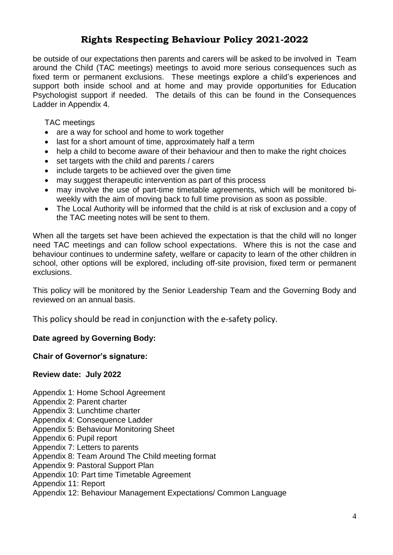be outside of our expectations then parents and carers will be asked to be involved in Team around the Child (TAC meetings) meetings to avoid more serious consequences such as fixed term or permanent exclusions. These meetings explore a child's experiences and support both inside school and at home and may provide opportunities for Education Psychologist support if needed. The details of this can be found in the Consequences Ladder in Appendix 4.

TAC meetings

- are a way for school and home to work together
- last for a short amount of time, approximately half a term
- help a child to become aware of their behaviour and then to make the right choices
- set targets with the child and parents / carers
- include targets to be achieved over the given time
- may suggest therapeutic intervention as part of this process
- may involve the use of part-time timetable agreements, which will be monitored biweekly with the aim of moving back to full time provision as soon as possible.
- The Local Authority will be informed that the child is at risk of exclusion and a copy of the TAC meeting notes will be sent to them.

When all the targets set have been achieved the expectation is that the child will no longer need TAC meetings and can follow school expectations. Where this is not the case and behaviour continues to undermine safety, welfare or capacity to learn of the other children in school, other options will be explored, including off-site provision, fixed term or permanent exclusions.

This policy will be monitored by the Senior Leadership Team and the Governing Body and reviewed on an annual basis.

This policy should be read in conjunction with the e-safety policy.

### **Date agreed by Governing Body:**

**Chair of Governor's signature:**

#### **Review date: July 2022**

Appendix 1: Home School Agreement

- Appendix 2: Parent charter
- Appendix 3: Lunchtime charter
- Appendix 4: Consequence Ladder
- Appendix 5: Behaviour Monitoring Sheet
- Appendix 6: Pupil report
- Appendix 7: Letters to parents
- Appendix 8: Team Around The Child meeting format
- Appendix 9: Pastoral Support Plan
- Appendix 10: Part time Timetable Agreement

Appendix 11: Report

Appendix 12: Behaviour Management Expectations/ Common Language